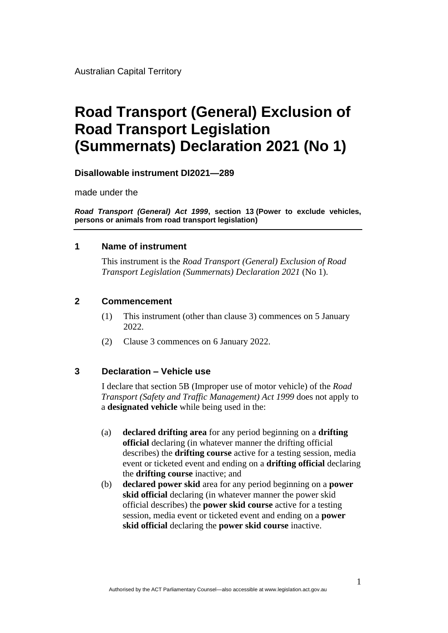Australian Capital Territory

# **Road Transport (General) Exclusion of Road Transport Legislation (Summernats) Declaration 2021 (No 1)**

**Disallowable instrument DI2021—289**

made under the

*Road Transport (General) Act 1999***, section 13 (Power to exclude vehicles, persons or animals from road transport legislation)**

#### **1 Name of instrument**

This instrument is the *Road Transport (General) Exclusion of Road Transport Legislation (Summernats) Declaration 2021* (No 1).

#### **2 Commencement**

- (1) This instrument (other than clause 3) commences on 5 January 2022.
- (2) Clause 3 commences on 6 January 2022.

#### **3 Declaration – Vehicle use**

I declare that section 5B (Improper use of motor vehicle) of the *Road Transport (Safety and Traffic Management) Act 1999* does not apply to a **designated vehicle** while being used in the:

- (a) **declared drifting area** for any period beginning on a **drifting official** declaring (in whatever manner the drifting official describes) the **drifting course** active for a testing session, media event or ticketed event and ending on a **drifting official** declaring the **drifting course** inactive; and
- (b) **declared power skid** area for any period beginning on a **power skid official** declaring (in whatever manner the power skid official describes) the **power skid course** active for a testing session, media event or ticketed event and ending on a **power skid official** declaring the **power skid course** inactive.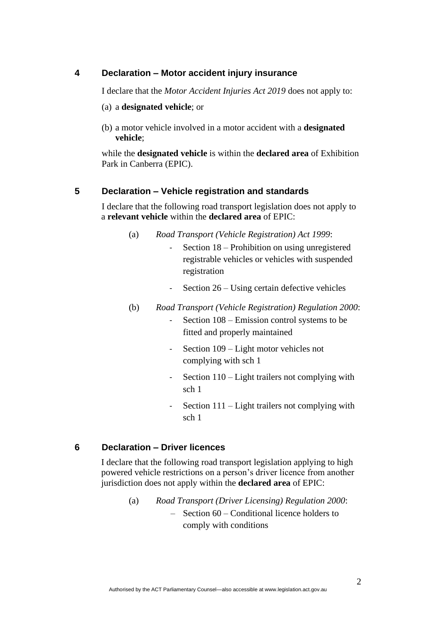### **4 Declaration – Motor accident injury insurance**

I declare that the *Motor Accident Injuries Act 2019* does not apply to:

#### (a) a **designated vehicle**; or

(b) a motor vehicle involved in a motor accident with a **designated vehicle**;

while the **designated vehicle** is within the **declared area** of Exhibition Park in Canberra (EPIC).

#### **5 Declaration – Vehicle registration and standards**

I declare that the following road transport legislation does not apply to a **relevant vehicle** within the **declared area** of EPIC:

- (a) *Road Transport (Vehicle Registration) Act 1999*:
	- Section 18 Prohibition on using unregistered registrable vehicles or vehicles with suspended registration
	- Section 26 Using certain defective vehicles
- (b) *Road Transport (Vehicle Registration) Regulation 2000*:
	- Section  $108$  Emission control systems to be fitted and properly maintained
	- Section 109 Light motor vehicles not complying with sch 1
	- Section 110 Light trailers not complying with sch 1
	- Section  $111$  Light trailers not complying with sch 1

#### **6 Declaration – Driver licences**

I declare that the following road transport legislation applying to high powered vehicle restrictions on a person's driver licence from another jurisdiction does not apply within the **declared area** of EPIC:

> (a) *Road Transport (Driver Licensing) Regulation 2000*: – Section 60 – Conditional licence holders to comply with conditions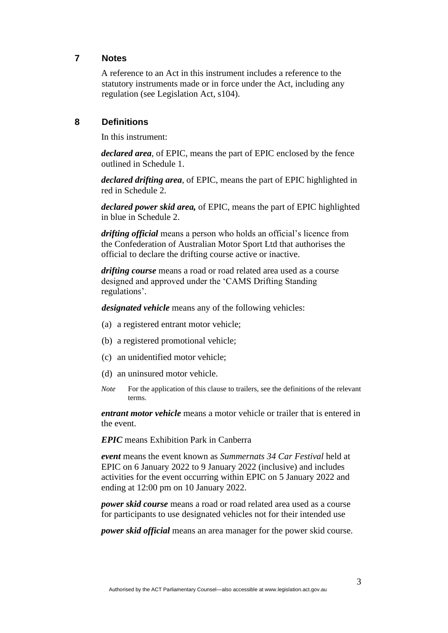### **7 Notes**

A reference to an Act in this instrument includes a reference to the statutory instruments made or in force under the Act, including any regulation (see Legislation Act, s104).

### **8 Definitions**

In this instrument:

*declared area*, of EPIC, means the part of EPIC enclosed by the fence outlined in Schedule 1.

*declared drifting area*, of EPIC, means the part of EPIC highlighted in red in Schedule 2.

*declared power skid area,* of EPIC, means the part of EPIC highlighted in blue in Schedule 2.

*drifting official* means a person who holds an official's licence from the Confederation of Australian Motor Sport Ltd that authorises the official to declare the drifting course active or inactive.

*drifting course* means a road or road related area used as a course designed and approved under the 'CAMS Drifting Standing regulations'.

*designated vehicle* means any of the following vehicles:

- (a) a registered entrant motor vehicle;
- (b) a registered promotional vehicle;
- (c) an unidentified motor vehicle;
- (d) an uninsured motor vehicle.
- *Note* For the application of this clause to trailers, see the definitions of the relevant terms.

*entrant motor vehicle* means a motor vehicle or trailer that is entered in the event.

*EPIC* means Exhibition Park in Canberra

*event* means the event known as *Summernats 34 Car Festival* held at EPIC on 6 January 2022 to 9 January 2022 (inclusive) and includes activities for the event occurring within EPIC on 5 January 2022 and ending at 12:00 pm on 10 January 2022.

*power skid course* means a road or road related area used as a course for participants to use designated vehicles not for their intended use

*power skid official* means an area manager for the power skid course.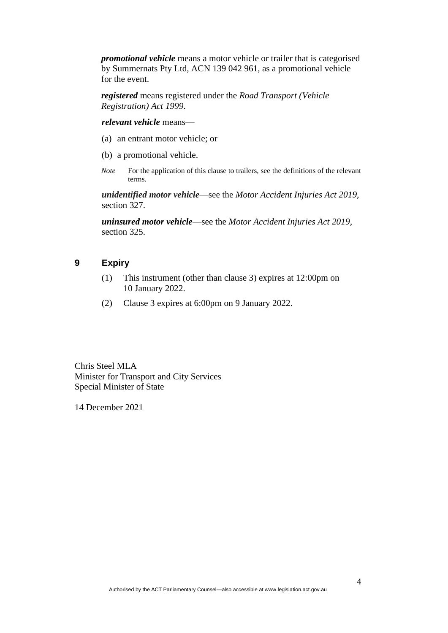*promotional vehicle* means a motor vehicle or trailer that is categorised by Summernats Pty Ltd, ACN 139 042 961, as a promotional vehicle for the event.

*registered* means registered under the *Road Transport (Vehicle Registration) Act 1999*.

*relevant vehicle* means—

- (a) an entrant motor vehicle; or
- (b) a promotional vehicle.
- *Note* For the application of this clause to trailers, see the definitions of the relevant terms.

*unidentified motor vehicle*—see the *Motor Accident Injuries Act 2019,*  section 327.

*uninsured motor vehicle*—see the *Motor Accident Injuries Act 2019,*  section 325.

## **9 Expiry**

- (1) This instrument (other than clause 3) expires at 12:00pm on 10 January 2022.
- (2) Clause 3 expires at 6:00pm on 9 January 2022.

Chris Steel MLA Minister for Transport and City Services Special Minister of State

14 December 2021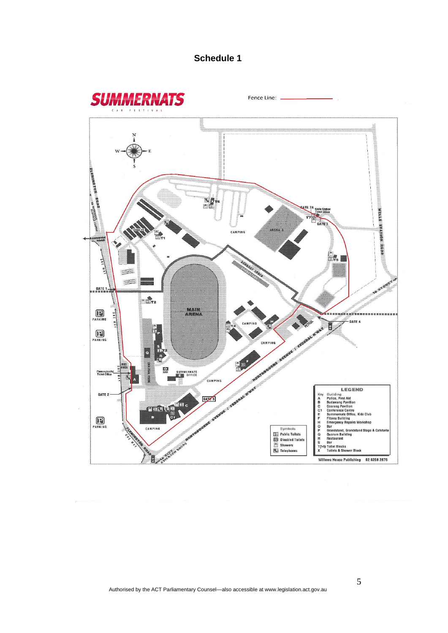# **Schedule 1**